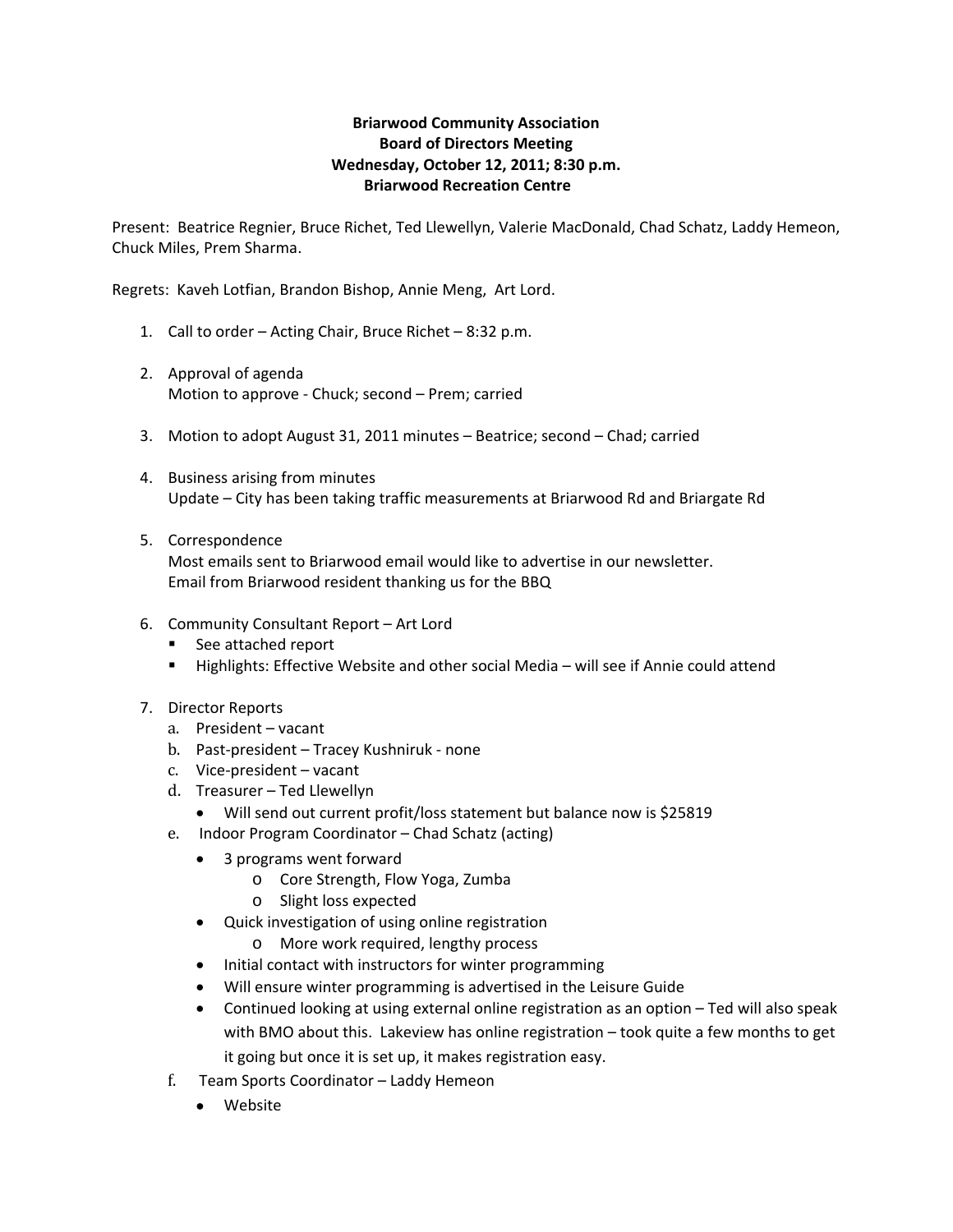## **Briarwood Community Association Board of Directors Meeting Wednesday, October 12, 2011; 8:30 p.m. Briarwood Recreation Centre**

Present: Beatrice Regnier, Bruce Richet, Ted Llewellyn, Valerie MacDonald, Chad Schatz, Laddy Hemeon, Chuck Miles, Prem Sharma.

Regrets: Kaveh Lotfian, Brandon Bishop, Annie Meng, Art Lord.

- 1. Call to order Acting Chair, Bruce Richet 8:32 p.m.
- 2. Approval of agenda Motion to approve ‐ Chuck; second – Prem; carried
- 3. Motion to adopt August 31, 2011 minutes Beatrice; second Chad; carried
- 4. Business arising from minutes Update – City has been taking traffic measurements at Briarwood Rd and Briargate Rd
- 5. Correspondence Most emails sent to Briarwood email would like to advertise in our newsletter. Email from Briarwood resident thanking us for the BBQ
- 6. Community Consultant Report Art Lord
	- See attached report
	- **Highlights: Effective Website and other social Media will see if Annie could attend**
- 7. Director Reports
	- a. President vacant
	- b. Past-president Tracey Kushniruk none
	- c. Vice-president vacant
	- d. Treasurer Ted Llewellyn
		- Will send out current profit/loss statement but balance now is \$25819
	- e. Indoor Program Coordinator Chad Schatz (acting)
		- 3 programs went forward
			- o Core Strength, Flow Yoga, Zumba
			- o Slight loss expected
		- Quick investigation of using online registration
			- o More work required, lengthy process
		- Initial contact with instructors for winter programming
		- Will ensure winter programming is advertised in the Leisure Guide
		- Continued looking at using external online registration as an option Ted will also speak with BMO about this. Lakeview has online registration – took quite a few months to get it going but once it is set up, it makes registration easy.
	- f. Team Sports Coordinator Laddy Hemeon
		- Website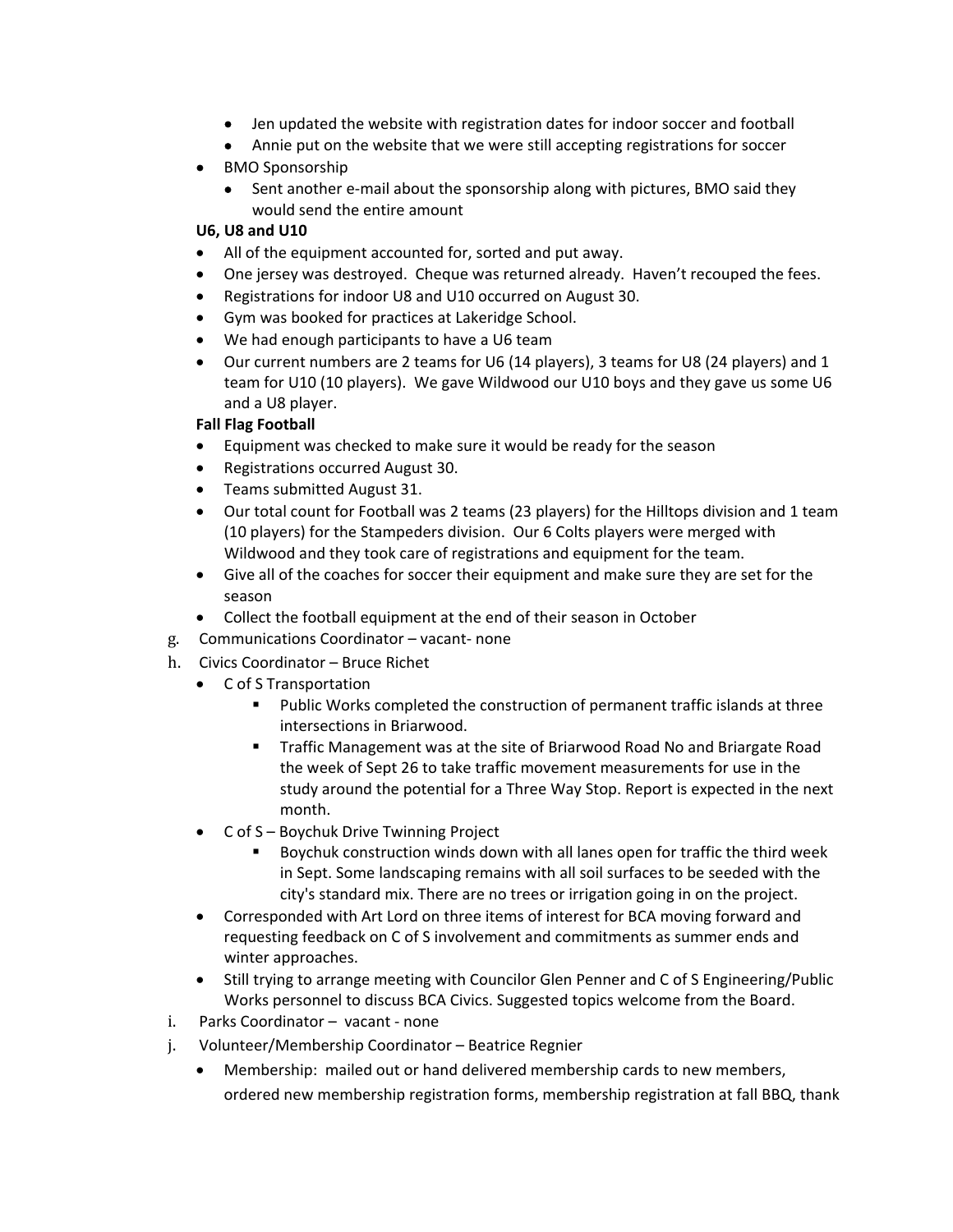- Jen updated the website with registration dates for indoor soccer and football
- Annie put on the website that we were still accepting registrations for soccer
- BMO Sponsorship
	- Sent another e-mail about the sponsorship along with pictures, BMO said they would send the entire amount

## **U6, U8 and U10**

- All of the equipment accounted for, sorted and put away.
- One jersey was destroyed. Cheque was returned already. Haven't recouped the fees.
- Registrations for indoor U8 and U10 occurred on August 30.
- Gym was booked for practices at Lakeridge School.
- We had enough participants to have a U6 team
- Our current numbers are 2 teams for U6 (14 players), 3 teams for U8 (24 players) and 1 team for U10 (10 players). We gave Wildwood our U10 boys and they gave us some U6 and a U8 player.

## **Fall Flag Football**

- Equipment was checked to make sure it would be ready for the season
- Registrations occurred August 30.
- Teams submitted August 31.
- Our total count for Football was 2 teams (23 players) for the Hilltops division and 1 team (10 players) for the Stampeders division. Our 6 Colts players were merged with Wildwood and they took care of registrations and equipment for the team.
- Give all of the coaches for soccer their equipment and make sure they are set for the season
- Collect the football equipment at the end of their season in October
- g. Communications Coordinator vacant‐ none
- h. Civics Coordinator Bruce Richet
	- C of S Transportation
		- Public Works completed the construction of permanent traffic islands at three intersections in Briarwood.
		- Traffic Management was at the site of Briarwood Road No and Briargate Road the week of Sept 26 to take traffic movement measurements for use in the study around the potential for a Three Way Stop. Report is expected in the next month.
	- C of S Boychuk Drive Twinning Project
		- Boychuk construction winds down with all lanes open for traffic the third week in Sept. Some landscaping remains with all soil surfaces to be seeded with the city's standard mix. There are no trees or irrigation going in on the project.
	- Corresponded with Art Lord on three items of interest for BCA moving forward and requesting feedback on C of S involvement and commitments as summer ends and winter approaches.
	- Still trying to arrange meeting with Councilor Glen Penner and C of S Engineering/Public Works personnel to discuss BCA Civics. Suggested topics welcome from the Board.
- i. Parks Coordinator vacant ‐ none
- j. Volunteer/Membership Coordinator Beatrice Regnier
	- Membership: mailed out or hand delivered membership cards to new members, ordered new membership registration forms, membership registration at fall BBQ, thank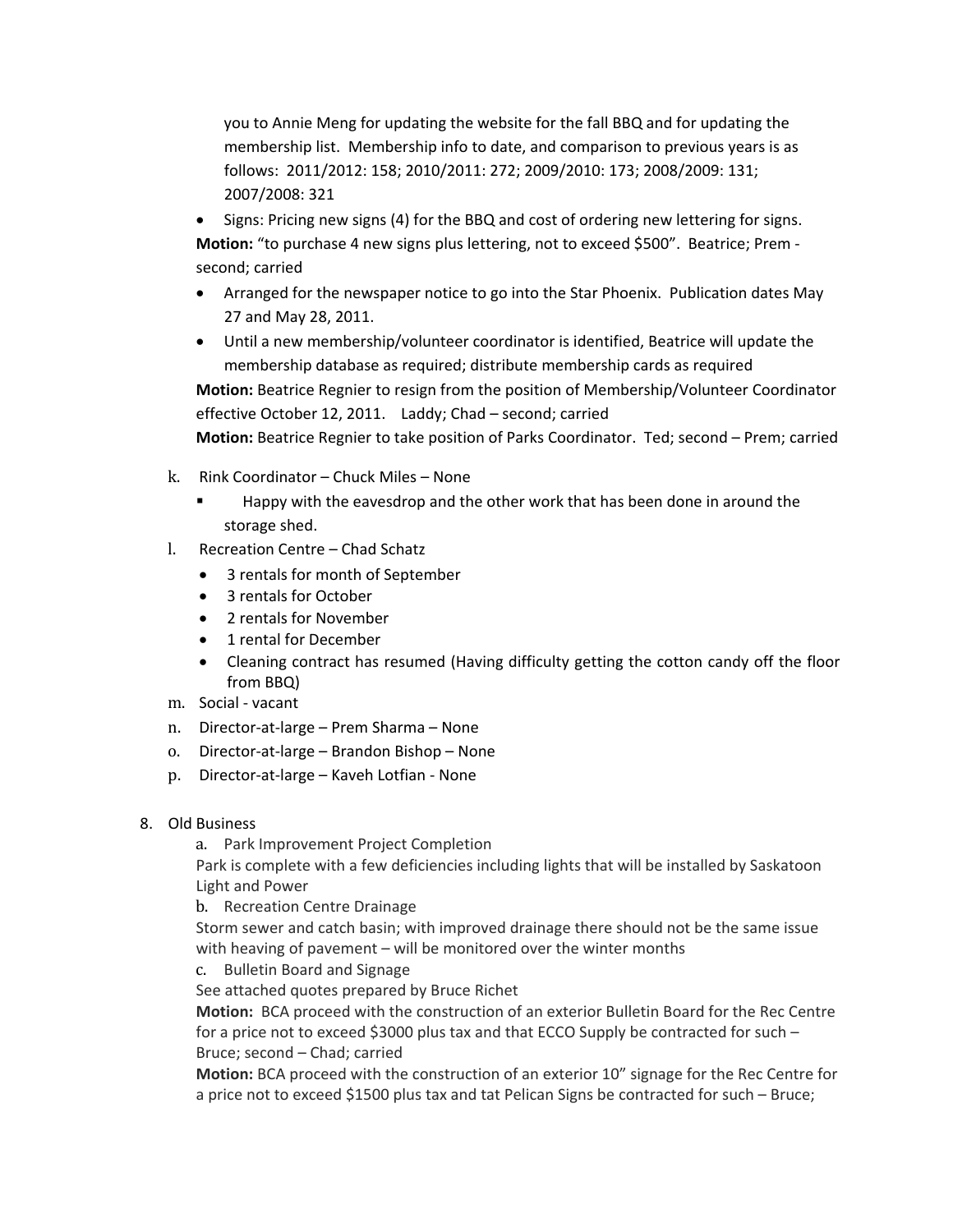you to Annie Meng for updating the website for the fall BBQ and for updating the membership list. Membership info to date, and comparison to previous years is as follows: 2011/2012: 158; 2010/2011: 272; 2009/2010: 173; 2008/2009: 131; 2007/2008: 321

- Signs: Pricing new signs (4) for the BBQ and cost of ordering new lettering for signs. Motion: "to purchase 4 new signs plus lettering, not to exceed \$500". Beatrice; Prem second; carried
- Arranged for the newspaper notice to go into the Star Phoenix. Publication dates May 27 and May 28, 2011.
- Until a new membership/volunteer coordinator is identified, Beatrice will update the membership database as required; distribute membership cards as required

**Motion:** Beatrice Regnier to resign from the position of Membership/Volunteer Coordinator effective October 12, 2011. Laddy; Chad – second; carried

**Motion:** Beatrice Regnier to take position of Parks Coordinator. Ted; second – Prem; carried

- k. Rink Coordinator Chuck Miles None
	- Happy with the eavesdrop and the other work that has been done in around the storage shed.
- l. Recreation Centre Chad Schatz
	- 3 rentals for month of September
	- 3 rentals for October
	- 2 rentals for November
	- 1 rental for December
	- Cleaning contract has resumed (Having difficulty getting the cotton candy off the floor from BBQ)
- m . Social ‐ vacant
- n. Director‐at‐large Prem Sharma None
- o. Director-at-large Brandon Bishop None
- p. Director‐at‐large Kaveh Lotfian ‐ None
- 8. Old Business

a. Park Improvement Project Completion

Pa rk is complete with a few deficiencies including lights that will be installed by Saskatoon Lig ht and Power

b. Recreation Centre Drainage

St orm sewer and catch basin; with improved drainage there should not be the same issue w ith heaving of pavement – will be monitored over the winter months

c. Bulletin Board and Signage

See attached quotes prepared by Bruce Richet

**Motion:** BCA proceed with the construction of an exterior Bulletin Board for the Rec Centre for a price not to exceed \$3000 plus tax and that ECCO Supply be contracted for such  $-$ Bruce; second – Chad; carried

**Motion:** BCA proceed with the construction of an exterior 10" signage for the Rec Centre for a price not to exceed \$1500 plus tax and tat Pelican Signs be contracted for such – Bruce;